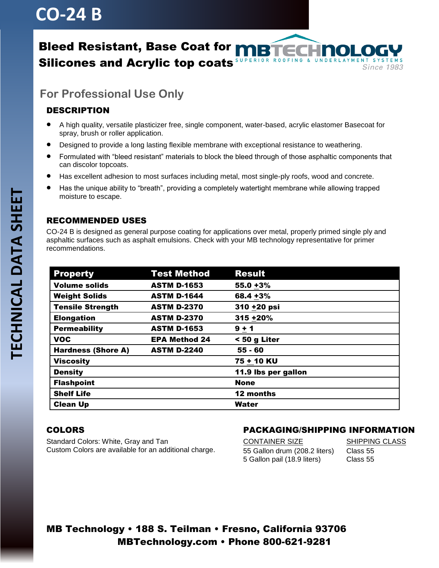## **CO-24 B**

#### Bleed Resistant, Base Coat for NRT SUPERIOR ROOFING & UNDERLAYMENT SYSTEMS Silicones and Acrylic top coats **Since 1983**

## **For Professional Use Only**

### DESCRIPTION

- A high quality, versatile plasticizer free, single component, water-based, acrylic elastomer Basecoat for spray, brush or roller application.
- Designed to provide a long lasting flexible membrane with exceptional resistance to weathering.
- Formulated with "bleed resistant" materials to block the bleed through of those asphaltic components that can discolor topcoats.
- Has excellent adhesion to most surfaces including metal, most single-ply roofs, wood and concrete.
- Has the unique ability to "breath", providing a completely watertight membrane while allowing trapped moisture to escape.

#### RECOMMENDED USES

CO-24 B is designed as general purpose coating for applications over metal, properly primed single ply and asphaltic surfaces such as asphalt emulsions. Check with your MB technology representative for primer recommendations.

| <b>Property</b>           | <b>Test Method</b>   | <b>Result</b>       |
|---------------------------|----------------------|---------------------|
| <b>Volume solids</b>      | <b>ASTM D-1653</b>   | $55.0 + 3%$         |
| <b>Weight Solids</b>      | <b>ASTM D-1644</b>   | 68.4 +3%            |
| <b>Tensile Strength</b>   | <b>ASTM D-2370</b>   | 310 +20 psi         |
| <b>Elongation</b>         | <b>ASTM D-2370</b>   | 315 +20%            |
| <b>Permeability</b>       | <b>ASTM D-1653</b>   | $9 + 1$             |
| <b>VOC</b>                | <b>EPA Method 24</b> | < 50 g Liter        |
| <b>Hardness (Shore A)</b> | <b>ASTM D-2240</b>   | $55 - 60$           |
| <b>Viscosity</b>          |                      | 75 + 10 KU          |
| <b>Density</b>            |                      | 11.9 lbs per gallon |
| <b>Flashpoint</b>         |                      | <b>None</b>         |
| <b>Shelf Life</b>         |                      | 12 months           |
| <b>Clean Up</b>           |                      | Water               |

#### COLORS

Standard Colors: White, Gray and Tan Custom Colors are available for an additional charge.

#### PACKAGING/SHIPPING INFORMATION

CONTAINER SIZE SHIPPING CLASS 55 Gallon drum (208.2 liters) Class 55 5 Gallon pail (18.9 liters) Class 55

### MB Technology • 188 S. Teilman • Fresno, California 93706 MBTechnology.com • Phone 800-621-9281